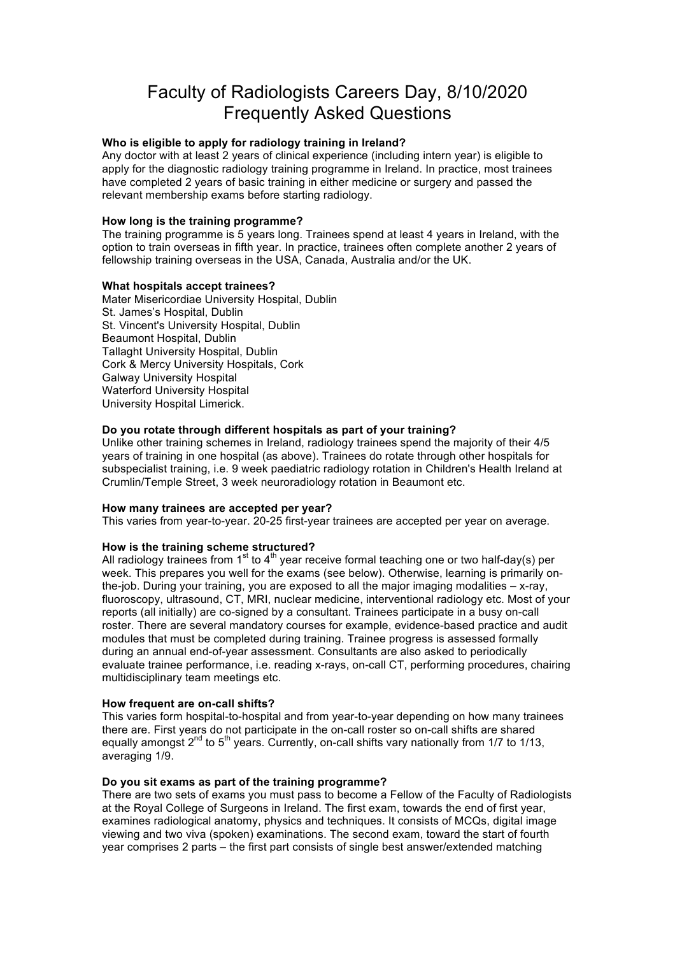# Faculty of Radiologists Careers Day, 8/10/2020 Frequently Asked Questions

## **Who is eligible to apply for radiology training in Ireland?**

Any doctor with at least 2 years of clinical experience (including intern year) is eligible to apply for the diagnostic radiology training programme in Ireland. In practice, most trainees have completed 2 years of basic training in either medicine or surgery and passed the relevant membership exams before starting radiology.

## **How long is the training programme?**

The training programme is 5 years long. Trainees spend at least 4 years in Ireland, with the option to train overseas in fifth year. In practice, trainees often complete another 2 years of fellowship training overseas in the USA, Canada, Australia and/or the UK.

## **What hospitals accept trainees?**

Mater Misericordiae University Hospital, Dublin St. James's Hospital, Dublin St. Vincent's University Hospital, Dublin Beaumont Hospital, Dublin Tallaght University Hospital, Dublin Cork & Mercy University Hospitals, Cork Galway University Hospital Waterford University Hospital University Hospital Limerick.

## **Do you rotate through different hospitals as part of your training?**

Unlike other training schemes in Ireland, radiology trainees spend the majority of their 4/5 years of training in one hospital (as above). Trainees do rotate through other hospitals for subspecialist training, i.e. 9 week paediatric radiology rotation in Children's Health Ireland at Crumlin/Temple Street, 3 week neuroradiology rotation in Beaumont etc.

### **How many trainees are accepted per year?**

This varies from year-to-year. 20-25 first-year trainees are accepted per year on average.

### **How is the training scheme structured?**

All radiology trainees from  $1<sup>st</sup>$  to  $4<sup>th</sup>$  year receive formal teaching one or two half-day(s) per week. This prepares you well for the exams (see below). Otherwise, learning is primarily onthe-job. During your training, you are exposed to all the major imaging modalities – x-ray, fluoroscopy, ultrasound, CT, MRI, nuclear medicine, interventional radiology etc. Most of your reports (all initially) are co-signed by a consultant. Trainees participate in a busy on-call roster. There are several mandatory courses for example, evidence-based practice and audit modules that must be completed during training. Trainee progress is assessed formally during an annual end-of-year assessment. Consultants are also asked to periodically evaluate trainee performance, i.e. reading x-rays, on-call CT, performing procedures, chairing multidisciplinary team meetings etc.

### **How frequent are on-call shifts?**

This varies form hospital-to-hospital and from year-to-year depending on how many trainees there are. First years do not participate in the on-call roster so on-call shifts are shared equally amongst  $2<sup>nd</sup>$  to  $5<sup>th</sup>$  years. Currently, on-call shifts vary nationally from 1/7 to 1/13, averaging 1/9.

### **Do you sit exams as part of the training programme?**

There are two sets of exams you must pass to become a Fellow of the Faculty of Radiologists at the Royal College of Surgeons in Ireland. The first exam, towards the end of first year, examines radiological anatomy, physics and techniques. It consists of MCQs, digital image viewing and two viva (spoken) examinations. The second exam, toward the start of fourth year comprises 2 parts – the first part consists of single best answer/extended matching